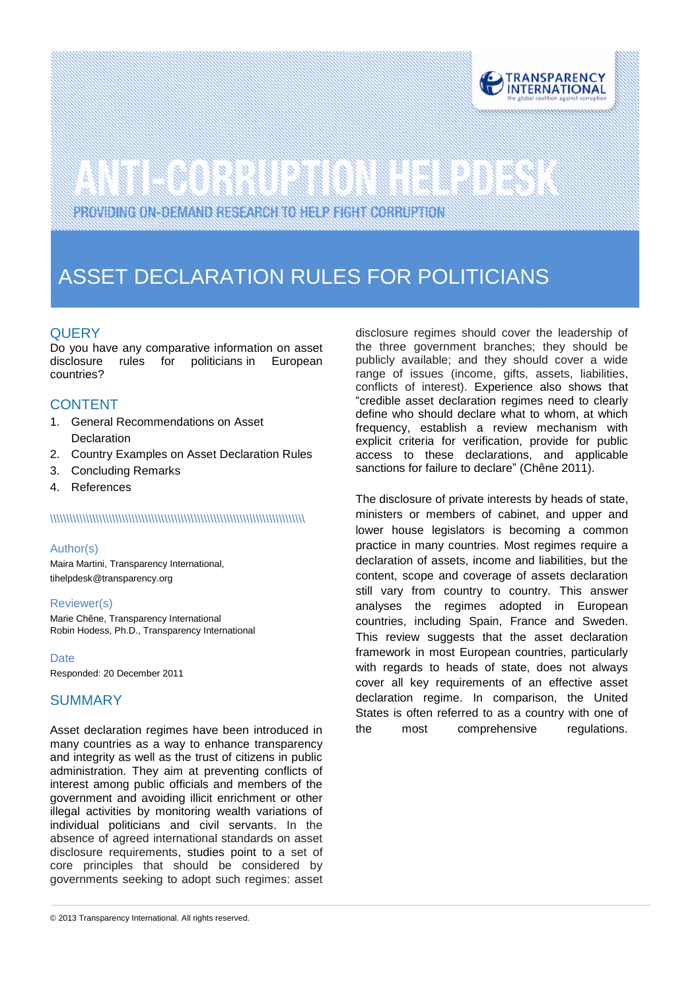

# 

PROVIDING ON-DEMAND RESEARCH TO HELP FIGHT CORRUPTION

# ASSET DECLARATION RULES FOR POLITICIANS

# **QUERY**

zer.

Do you have any comparative information on asset<br>disclosure rules for politicians in European disclosure rules for politicians in European countries?

# **CONTENT**

- 1. General Recommendations on Asset **Declaration**
- 2. Country Examples on Asset Declaration Rules
- 3. Concluding Remarks
- 4. References

#### \\\\\\\\\\\\\\\\\\\\\\\\\\\\\\\\\\\\\\\\\\\\\\\\\\\\\\\\\\\\\\\\\\\\\\\\\\\\\\

#### Author(s)

Maira Martini, Transparency International, tihelpdes[k@transparency.org](mailto:mchene@transparency.org%20?subject=U4%20Expert%20Answer)

#### Reviewer(s)

Marie Chêne, Transparency International Robin Hodess, Ph.D., Transparency International

#### **Date**

Responded: 20 December 2011

### **SUMMARY**

Asset declaration regimes have been introduced in many countries as a way to enhance transparency and integrity as well as the trust of citizens in public administration. They aim at preventing conflicts of interest among public officials and members of the government and avoiding illicit enrichment or other illegal activities by monitoring wealth variations of individual politicians and civil servants. In the absence of agreed international standards on asset disclosure requirements, studies point to a set of core principles that should be considered by governments seeking to adopt such regimes: asset

disclosure regimes should cover the leadership of the three government branches; they should be publicly available; and they should cover a wide range of issues (income, gifts, assets, liabilities, conflicts of interest). Experience also shows that "credible asset declaration regimes need to clearly define who should declare what to whom, at which frequency, establish a review mechanism with explicit criteria for verification, provide for public access to these declarations, and applicable sanctions for failure to declare" (Chêne 2011).

The disclosure of private interests by heads of state, ministers or members of cabinet, and upper and lower house legislators is becoming a common practice in many countries. Most regimes require a declaration of assets, income and liabilities, but the content, scope and coverage of assets declaration still vary from country to country. This answer analyses the regimes adopted in European countries, including Spain, France and Sweden. This review suggests that the asset declaration framework in most European countries, particularly with regards to heads of state, does not always cover all key requirements of an effective asset declaration regime. In comparison, the United States is often referred to as a country with one of the most comprehensive regulations.

<sup>© 2013</sup> Transparency International. All rights reserved.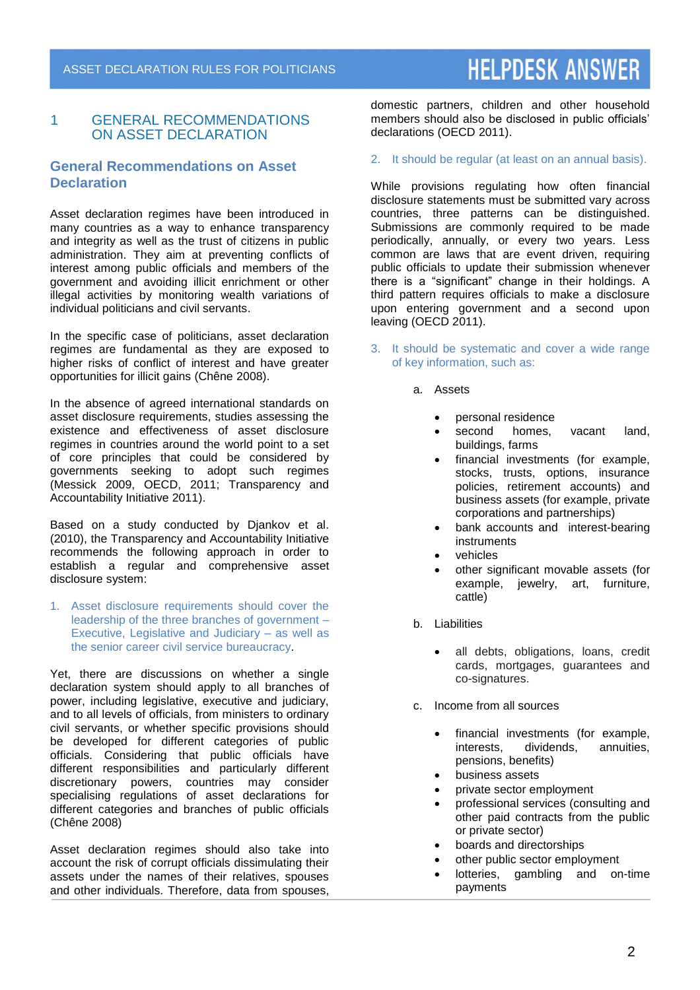# 1 GENERAL RECOMMENDATIONS ON ASSET DECLARATION

# **General Recommendations on Asset Declaration**

Asset declaration regimes have been introduced in many countries as a way to enhance transparency and integrity as well as the trust of citizens in public administration. They aim at preventing conflicts of interest among public officials and members of the government and avoiding illicit enrichment or other illegal activities by monitoring wealth variations of individual politicians and civil servants.

In the specific case of politicians, asset declaration regimes are fundamental as they are exposed to higher risks of conflict of interest and have greater opportunities for illicit gains (Chêne 2008).

In the absence of agreed international standards on asset disclosure requirements, studies assessing the existence and effectiveness of asset disclosure regimes in countries around the world point to a set of core principles that could be considered by governments seeking to adopt such regimes (Messick 2009, OECD, 2011; Transparency and Accountability Initiative 2011).

Based on a study conducted by Djankov et al. (2010), the Transparency and Accountability Initiative recommends the following approach in order to establish a regular and comprehensive asset disclosure system:

1. Asset disclosure requirements should cover the leadership of the three branches of government – Executive, Legislative and Judiciary – as well as the senior career civil service bureaucracy.

Yet, there are discussions on whether a single declaration system should apply to all branches of power, including legislative, executive and judiciary, and to all levels of officials, from ministers to ordinary civil servants, or whether specific provisions should be developed for different categories of public officials. Considering that public officials have different responsibilities and particularly different discretionary powers, countries may consider specialising regulations of asset declarations for different categories and branches of public officials (Chêne 2008)

Asset declaration regimes should also take into account the risk of corrupt officials dissimulating their assets under the names of their relatives, spouses and other individuals. Therefore, data from spouses,

domestic partners, children and other household members should also be disclosed in public officials' declarations (OECD 2011).

### 2. It should be regular (at least on an annual basis).

While provisions regulating how often financial disclosure statements must be submitted vary across countries, three patterns can be distinguished. Submissions are commonly required to be made periodically, annually, or every two years. Less common are laws that are event driven, requiring public officials to update their submission whenever there is a "significant" change in their holdings. A third pattern requires officials to make a disclosure upon entering government and a second upon leaving (OECD 2011).

- 3. It should be systematic and cover a wide range of key information, such as:
	- a. Assets
		- personal residence<br>• second homes,
		- homes, vacant land, buildings, farms
		- financial investments (for example, stocks, trusts, options, insurance policies, retirement accounts) and business assets (for example, private corporations and partnerships)
		- bank accounts and interest-bearing instruments
		- vehicles
		- other significant movable assets (for example, jewelry, art, furniture, cattle)
	- b. Liabilities
		- all debts, obligations, loans, credit cards, mortgages, guarantees and co-signatures.
	- c. Income from all sources
		- financial investments (for example,<br>interests, dividends, annuities, dividends, annuities, pensions, benefits)
		- business assets
		- private sector employment
		- professional services (consulting and other paid contracts from the public or private sector)
		- boards and directorships
		- other public sector employment
		- lotteries, gambling and on-time payments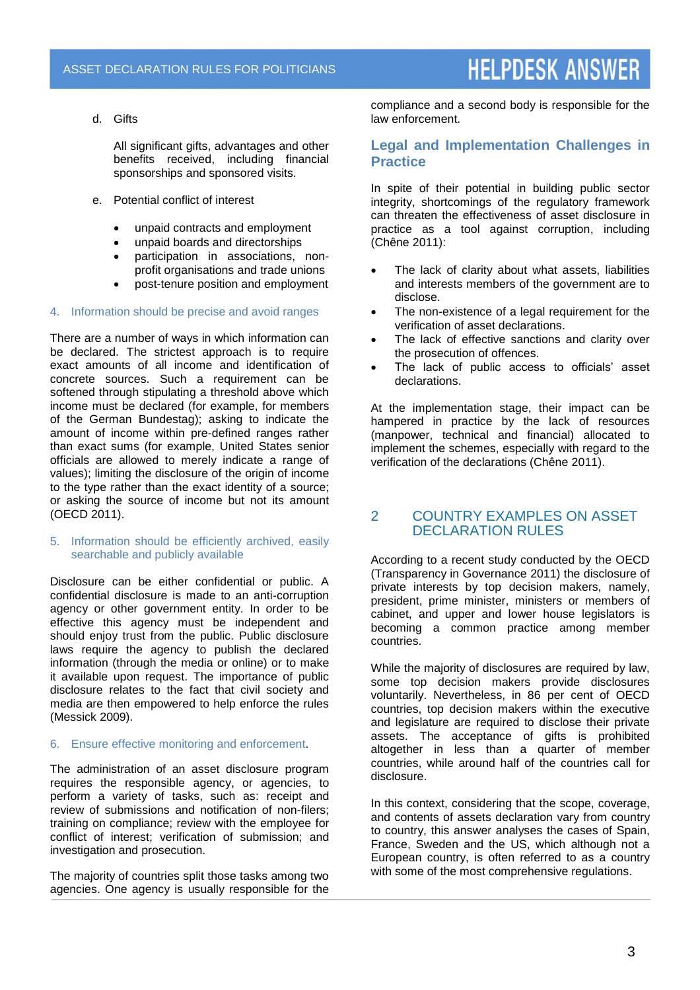d. Gifts

All significant gifts, advantages and other benefits received, including financial sponsorships and sponsored visits.

- e. Potential conflict of interest
	- unpaid contracts and employment
	- unpaid boards and directorships
	- participation in associations, nonprofit organisations and trade unions
	- post-tenure position and employment

#### 4. Information should be precise and avoid ranges

There are a number of ways in which information can be declared. The strictest approach is to require exact amounts of all income and identification of concrete sources. Such a requirement can be softened through stipulating a threshold above which income must be declared (for example, for members of the German Bundestag); asking to indicate the amount of income within pre-defined ranges rather than exact sums (for example, United States senior officials are allowed to merely indicate a range of values); limiting the disclosure of the origin of income to the type rather than the exact identity of a source; or asking the source of income but not its amount (OECD 2011).

#### 5. Information should be efficiently archived, easily searchable and publicly available

Disclosure can be either confidential or public. A confidential disclosure is made to an anti-corruption agency or other government entity. In order to be effective this agency must be independent and should enjoy trust from the public. Public disclosure laws require the agency to publish the declared information (through the media or online) or to make it available upon request. The importance of public disclosure relates to the fact that civil society and media are then empowered to help enforce the rules (Messick 2009).

### 6. Ensure effective monitoring and enforcement.

The administration of an asset disclosure program requires the responsible agency, or agencies, to perform a variety of tasks, such as: receipt and review of submissions and notification of non-filers; training on compliance; review with the employee for conflict of interest; verification of submission; and investigation and prosecution.

The majority of countries split those tasks among two agencies. One agency is usually responsible for the compliance and a second body is responsible for the law enforcement.

# **Legal and Implementation Challenges in Practice**

In spite of their potential in building public sector integrity, shortcomings of the regulatory framework can threaten the effectiveness of asset disclosure in practice as a tool against corruption, including (Chêne 2011):

- The lack of clarity about what assets, liabilities and interests members of the government are to disclose.
- The non-existence of a legal requirement for the verification of asset declarations.
- The lack of effective sanctions and clarity over the prosecution of offences.
- The lack of public access to officials' asset declarations.

At the implementation stage, their impact can be hampered in practice by the lack of resources (manpower, technical and financial) allocated to implement the schemes, especially with regard to the verification of the declarations (Chêne 2011).

# 2 COUNTRY EXAMPLES ON ASSET DECLARATION RULES

According to a recent study conducted by the OECD (Transparency in Governance 2011) the disclosure of private interests by top decision makers, namely, president, prime minister, ministers or members of cabinet, and upper and lower house legislators is becoming a common practice among member countries.

While the majority of disclosures are required by law, some top decision makers provide disclosures voluntarily. Nevertheless, in 86 per cent of OECD countries, top decision makers within the executive and legislature are required to disclose their private assets. The acceptance of gifts is prohibited altogether in less than a quarter of member countries, while around half of the countries call for disclosure.

In this context, considering that the scope, coverage, and contents of assets declaration vary from country to country, this answer analyses the cases of Spain, France, Sweden and the US, which although not a European country, is often referred to as a country with some of the most comprehensive regulations.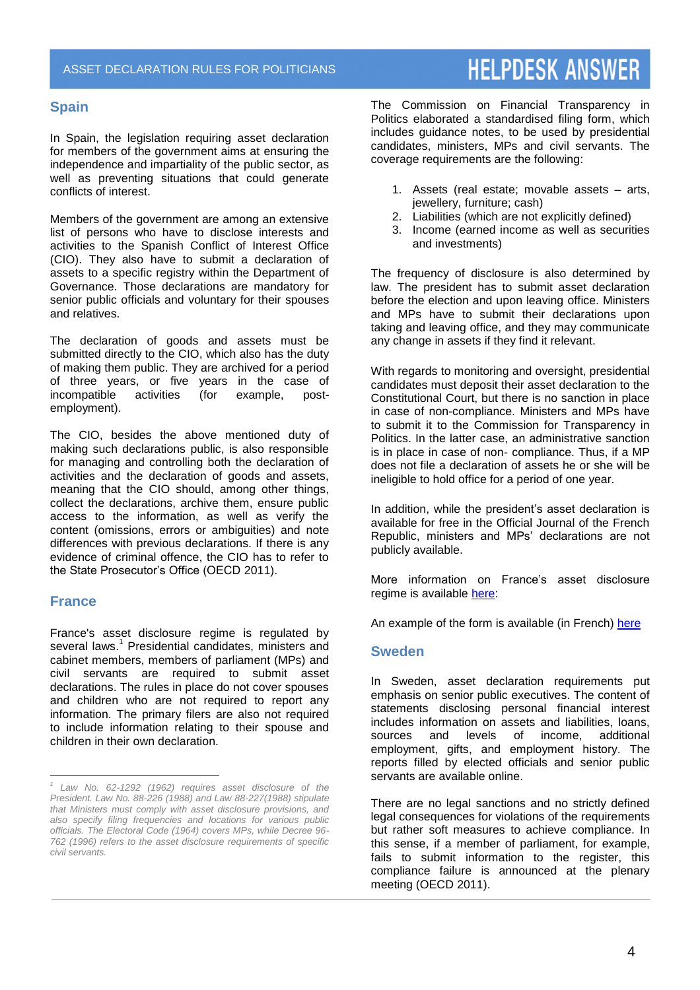### **Spain**

In Spain, the legislation requiring asset declaration for members of the government aims at ensuring the independence and impartiality of the public sector, as well as preventing situations that could generate conflicts of interest.

Members of the government are among an extensive list of persons who have to disclose interests and activities to the Spanish Conflict of Interest Office (CIO). They also have to submit a declaration of assets to a specific registry within the Department of Governance. Those declarations are mandatory for senior public officials and voluntary for their spouses and relatives.

The declaration of goods and assets must be submitted directly to the CIO, which also has the duty of making them public. They are archived for a period of three years, or five years in the case of<br>incompatible activities (for example, post-(for example, postemployment).

The CIO, besides the above mentioned duty of making such declarations public, is also responsible for managing and controlling both the declaration of activities and the declaration of goods and assets, meaning that the CIO should, among other things, collect the declarations, archive them, ensure public access to the information, as well as verify the content (omissions, errors or ambiguities) and note differences with previous declarations. If there is any evidence of criminal offence, the CIO has to refer to the State Prosecutor's Office (OECD 2011).

### **France**

l

France's asset disclosure regime is regulated by several laws. 1 Presidential candidates, ministers and cabinet members, members of parliament (MPs) and civil servants are required to submit asset declarations. The rules in place do not cover spouses and children who are not required to report any information. The primary filers are also not required to include information relating to their spouse and children in their own declaration.

The Commission on Financial Transparency in Politics elaborated a standardised filing form, which includes guidance notes, to be used by presidential candidates, ministers, MPs and civil servants. The coverage requirements are the following:

- 1. Assets (real estate; movable assets arts, jewellery, furniture; cash)
- 2. Liabilities (which are not explicitly defined)
- 3. Income (earned income as well as securities and investments)

The frequency of disclosure is also determined by law. The president has to submit asset declaration before the election and upon leaving office. Ministers and MPs have to submit their declarations upon taking and leaving office, and they may communicate any change in assets if they find it relevant.

With regards to monitoring and oversight, presidential candidates must deposit their asset declaration to the Constitutional Court, but there is no sanction in place in case of non-compliance. Ministers and MPs have to submit it to the Commission for Transparency in Politics. In the latter case, an administrative sanction is in place in case of non- compliance. Thus, if a MP does not file a declaration of assets he or she will be ineligible to hold office for a period of one year.

In addition, while the president's asset declaration is available for free in the Official Journal of the French Republic, ministers and MPs' declarations are not publicly available.

More information on France's asset disclosure regime is available [here:](https://agidata.org/Pam/ProfileIndicator.aspx?c=69&i=3131)

An example of the form is available (in French) [here](http://www.commission-transparence.fr/formulaire/FORMULAIRE.pdf)

### **Sweden**

In Sweden, asset declaration requirements put emphasis on senior public executives. The content of statements disclosing personal financial interest includes information on assets and liabilities, loans, sources and levels of income, additional employment, gifts, and employment history. The reports filled by elected officials and senior public servants are available online.

There are no legal sanctions and no strictly defined legal consequences for violations of the requirements but rather soft measures to achieve compliance. In this sense, if a member of parliament, for example, fails to submit information to the register, this compliance failure is announced at the plenary meeting (OECD 2011).

*<sup>1</sup> Law No. 62-1292 (1962) requires asset disclosure of the President. Law No. 88-226 (1988) and Law 88-227(1988) stipulate that Ministers must comply with asset disclosure provisions, and also specify filing frequencies and locations for various public officials. The Electoral Code (1964) covers MPs, while Decree 96- 762 (1996) refers to the asset disclosure requirements of specific civil servants.*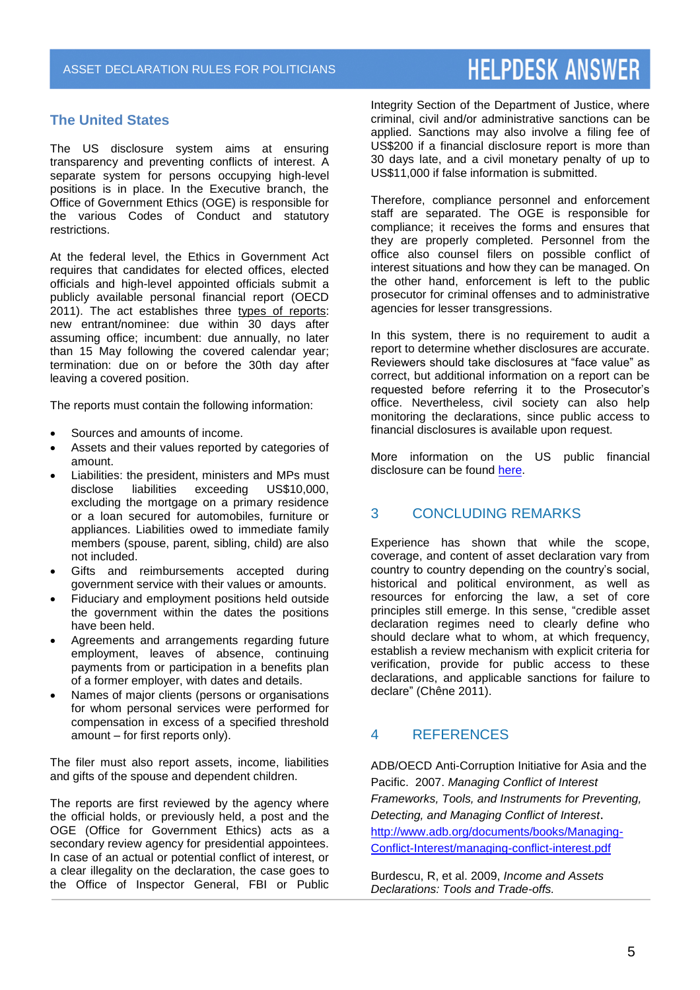# **The United States**

The US disclosure system aims at ensuring transparency and preventing conflicts of interest. A separate system for persons occupying high-level positions is in place. In the Executive branch, the Office of Government Ethics (OGE) is responsible for the various Codes of Conduct and statutory restrictions.

At the federal level, the Ethics in Government Act requires that candidates for elected offices, elected officials and high-level appointed officials submit a publicly available personal financial report (OECD 2011). The act establishes three types of reports: new entrant/nominee: due within 30 days after assuming office; incumbent: due annually, no later than 15 May following the covered calendar year; termination: due on or before the 30th day after leaving a covered position.

The reports must contain the following information:

- Sources and amounts of income.
- Assets and their values reported by categories of amount.
- Liabilities: the president, ministers and MPs must<br>disclose liabilities exceeding US\$10.000. exceeding excluding the mortgage on a primary residence or a loan secured for automobiles, furniture or appliances. Liabilities owed to immediate family members (spouse, parent, sibling, child) are also not included.
- Gifts and reimbursements accepted during government service with their values or amounts.
- Fiduciary and employment positions held outside the government within the dates the positions have been held.
- Agreements and arrangements regarding future employment, leaves of absence, continuing payments from or participation in a benefits plan of a former employer, with dates and details.
- Names of major clients (persons or organisations for whom personal services were performed for compensation in excess of a specified threshold amount – for first reports only).

The filer must also report assets, income, liabilities and gifts of the spouse and dependent children.

The reports are first reviewed by the agency where the official holds, or previously held, a post and the OGE (Office for Government Ethics) acts as a secondary review agency for presidential appointees. In case of an actual or potential conflict of interest, or a clear illegality on the declaration, the case goes to the Office of Inspector General, FBI or Public

Integrity Section of the Department of Justice, where criminal, civil and/or administrative sanctions can be applied. Sanctions may also involve a filing fee of US\$200 if a financial disclosure report is more than 30 days late, and a civil monetary penalty of up to US\$11,000 if false information is submitted.

Therefore, compliance personnel and enforcement staff are separated. The OGE is responsible for compliance; it receives the forms and ensures that they are properly completed. Personnel from the office also counsel filers on possible conflict of interest situations and how they can be managed. On the other hand, enforcement is left to the public prosecutor for criminal offenses and to administrative agencies for lesser transgressions.

In this system, there is no requirement to audit a report to determine whether disclosures are accurate. Reviewers should take disclosures at "face value" as correct, but additional information on a report can be requested before referring it to the Prosecutor's office. Nevertheless, civil society can also help monitoring the declarations, since public access to financial disclosures is available upon request.

More information on the US public financial disclosure can be found [here.](http://www.usoge.gov/forms/sf278_pdf/rf278guide_04.pdf#xml=http://www.dmssearch.gpoaccess.gov/PdfHighlighter.aspx?DocId=457&Index=D%3a%5cwebsites%5cUseIndex%5cOGE&HitCount=2&hits=c48e+c48f+)

# 3 CONCLUDING REMARKS

Experience has shown that while the scope, coverage, and content of asset declaration vary from country to country depending on the country's social, historical and political environment, as well as resources for enforcing the law, a set of core principles still emerge. In this sense, "credible asset declaration regimes need to clearly define who should declare what to whom, at which frequency, establish a review mechanism with explicit criteria for verification, provide for public access to these declarations, and applicable sanctions for failure to declare" (Chêne 2011).

# 4 REFERENCES

ADB/OECD Anti-Corruption Initiative for Asia and the Pacific. 2007. *Managing Conflict of Interest Frameworks, Tools, and Instruments for Preventing, Detecting, and Managing Conflict of Interest*. [http://www.adb.org/documents/books/Managing-](http://www.adb.org/documents/books/Managing-Conflict-Interest/managing-conflict-interest.pdf)[Conflict-Interest/managing-conflict-interest.pdf](http://www.adb.org/documents/books/Managing-Conflict-Interest/managing-conflict-interest.pdf)

Burdescu, R, et al. 2009, *Income and Assets Declarations: Tools and Trade-offs.*